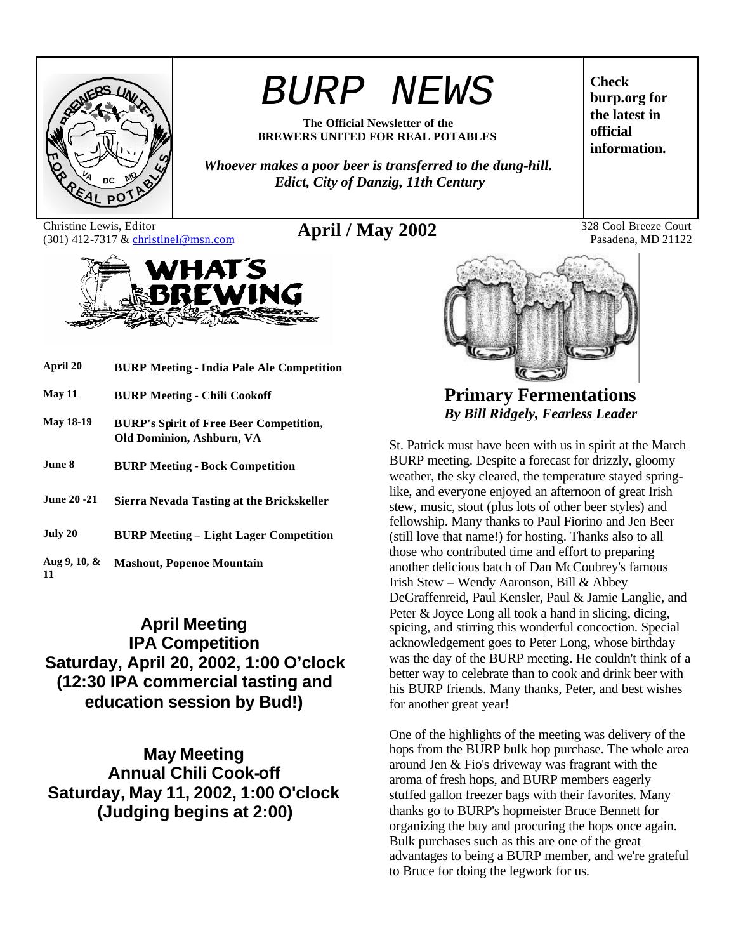

# *BURP NEWS*

**The Official Newsletter of the BREWERS UNITED FOR REAL POTABLES**

*Whoever makes a poor beer is transferred to the dung-hill. Edict, City of Danzig, 11th Century*

Christine Lewis, Editor Christine Lewis, Editor<br>
(301) 412-7317 & christinel@msn.com **April / May 2002** 328 Cool Breeze Court<br>
Pasadena, MD 21122



| April 20              | <b>BURP Meeting - India Pale Ale Competition</b>                            |
|-----------------------|-----------------------------------------------------------------------------|
| <b>May 11</b>         | <b>BURP Meeting - Chili Cookoff</b>                                         |
| <b>May 18-19</b>      | <b>BURP's Spirit of Free Beer Competition,</b><br>Old Dominion, Ashburn, VA |
| June 8.               | <b>BURP Meeting - Bock Competition</b>                                      |
| June 20 -21.          | Sierra Nevada Tasting at the Brickskeller                                   |
| July 20               | <b>BURP Meeting - Light Lager Competition</b>                               |
| Aug 9, 10, $\&$<br>11 | <b>Mashout, Popenoe Mountain</b>                                            |

# **April Meeting IPA Competition Saturday, April 20, 2002, 1:00 O'clock (12:30 IPA commercial tasting and education session by Bud!)**

**May Meeting Annual Chili Cook-off Saturday, May 11, 2002, 1:00 O'clock (Judging begins at 2:00)**

**Check burp.org for the latest in official information.**

Pasadena, MD 21122



**Primary Fermentations** *By Bill Ridgely, Fearless Leader*

St. Patrick must have been with us in spirit at the March BURP meeting. Despite a forecast for drizzly, gloomy weather, the sky cleared, the temperature stayed springlike, and everyone enjoyed an afternoon of great Irish stew, music, stout (plus lots of other beer styles) and fellowship. Many thanks to Paul Fiorino and Jen Beer (still love that name!) for hosting. Thanks also to all those who contributed time and effort to preparing another delicious batch of Dan McCoubrey's famous Irish Stew – Wendy Aaronson, Bill & Abbey DeGraffenreid, Paul Kensler, Paul & Jamie Langlie, and Peter & Joyce Long all took a hand in slicing, dicing, spicing, and stirring this wonderful concoction. Special acknowledgement goes to Peter Long, whose birthday was the day of the BURP meeting. He couldn't think of a better way to celebrate than to cook and drink beer with his BURP friends. Many thanks, Peter, and best wishes for another great year!

One of the highlights of the meeting was delivery of the hops from the BURP bulk hop purchase. The whole area around Jen & Fio's driveway was fragrant with the aroma of fresh hops, and BURP members eagerly stuffed gallon freezer bags with their favorites. Many thanks go to BURP's hopmeister Bruce Bennett for organizing the buy and procuring the hops once again. Bulk purchases such as this are one of the great advantages to being a BURP member, and we're grateful to Bruce for doing the legwork for us.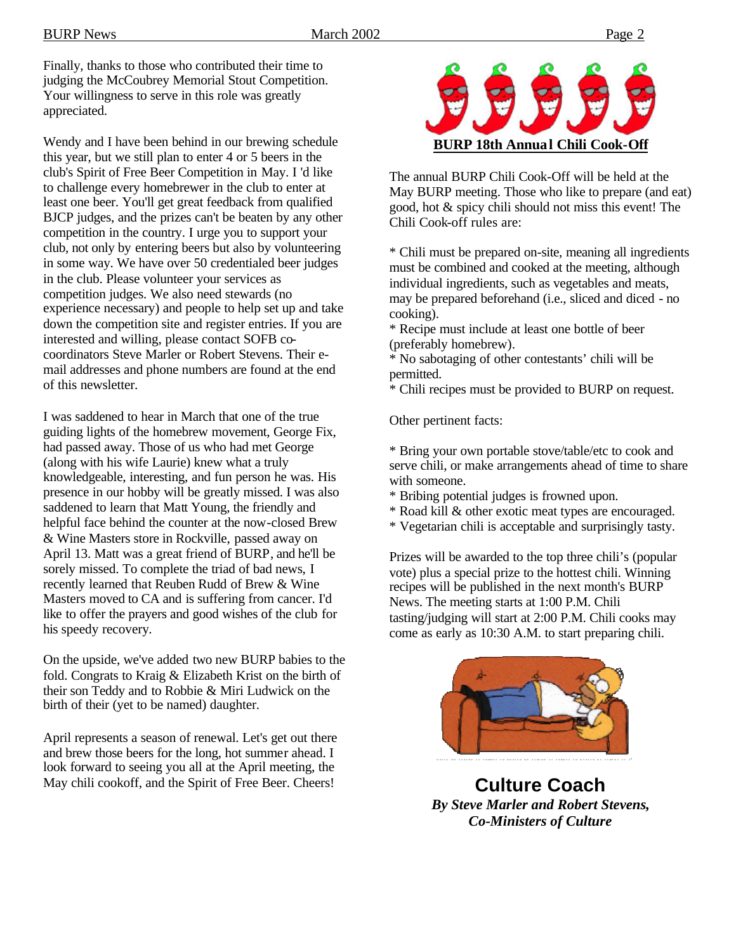BURP News 2002 Page 2

Finally, thanks to those who contributed their time to judging the McCoubrey Memorial Stout Competition. Your willingness to serve in this role was greatly appreciated.

Wendy and I have been behind in our brewing schedule this year, but we still plan to enter 4 or 5 beers in the club's Spirit of Free Beer Competition in May. I 'd like to challenge every homebrewer in the club to enter at least one beer. You'll get great feedback from qualified BJCP judges, and the prizes can't be beaten by any other competition in the country. I urge you to support your club, not only by entering beers but also by volunteering in some way. We have over 50 credentialed beer judges in the club. Please volunteer your services as competition judges. We also need stewards (no experience necessary) and people to help set up and take down the competition site and register entries. If you are interested and willing, please contact SOFB cocoordinators Steve Marler or Robert Stevens. Their email addresses and phone numbers are found at the end of this newsletter.

I was saddened to hear in March that one of the true guiding lights of the homebrew movement, George Fix, had passed away. Those of us who had met George (along with his wife Laurie) knew what a truly knowledgeable, interesting, and fun person he was. His presence in our hobby will be greatly missed. I was also saddened to learn that Matt Young, the friendly and helpful face behind the counter at the now-closed Brew & Wine Masters store in Rockville, passed away on April 13. Matt was a great friend of BURP, and he'll be sorely missed. To complete the triad of bad news, I recently learned that Reuben Rudd of Brew & Wine Masters moved to CA and is suffering from cancer. I'd like to offer the prayers and good wishes of the club for his speedy recovery.

On the upside, we've added two new BURP babies to the fold. Congrats to Kraig & Elizabeth Krist on the birth of their son Teddy and to Robbie & Miri Ludwick on the birth of their (yet to be named) daughter.

April represents a season of renewal. Let's get out there and brew those beers for the long, hot summer ahead. I look forward to seeing you all at the April meeting, the May chili cookoff, and the Spirit of Free Beer. Cheers!



The annual BURP Chili Cook-Off will be held at the May BURP meeting. Those who like to prepare (and eat) good, hot & spicy chili should not miss this event! The Chili Cook-off rules are:

\* Chili must be prepared on-site, meaning all ingredients must be combined and cooked at the meeting, although individual ingredients, such as vegetables and meats, may be prepared beforehand (i.e., sliced and diced - no cooking).

\* Recipe must include at least one bottle of beer (preferably homebrew).

\* No sabotaging of other contestants' chili will be permitted.

\* Chili recipes must be provided to BURP on request.

Other pertinent facts:

\* Bring your own portable stove/table/etc to cook and serve chili, or make arrangements ahead of time to share with someone.

\* Bribing potential judges is frowned upon.

\* Road kill & other exotic meat types are encouraged.

\* Vegetarian chili is acceptable and surprisingly tasty.

Prizes will be awarded to the top three chili's (popular vote) plus a special prize to the hottest chili. Winning recipes will be published in the next month's BURP News. The meeting starts at 1:00 P.M. Chili tasting/judging will start at 2:00 P.M. Chili cooks may come as early as 10:30 A.M. to start preparing chili.



**Culture Coach** *By Steve Marler and Robert Stevens, Co-Ministers of Culture*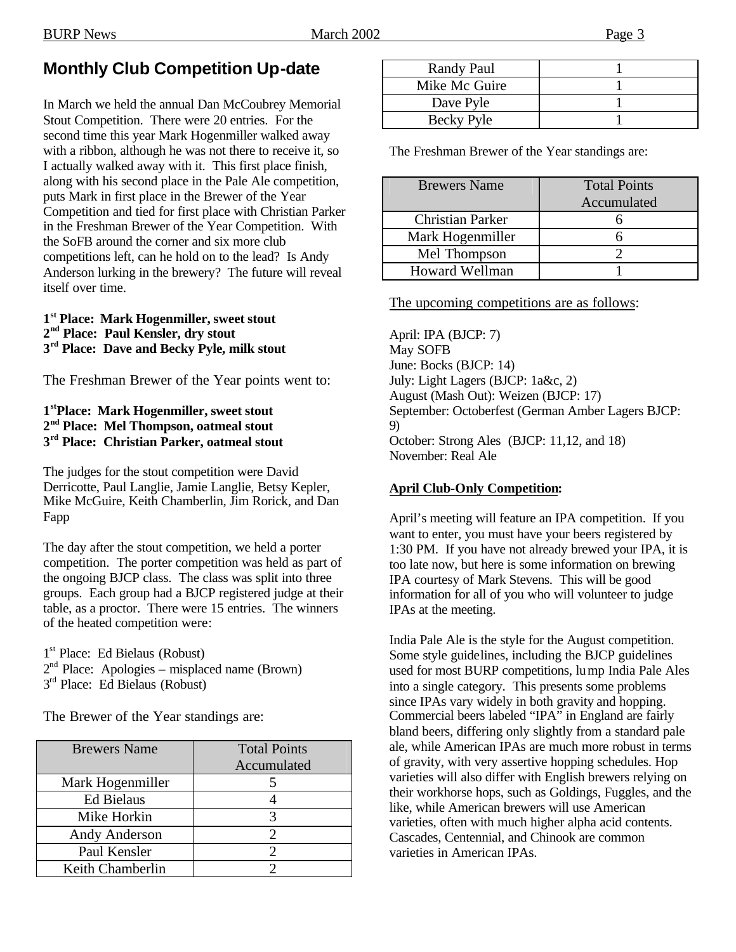# **Monthly Club Competition Up-date**

In March we held the annual Dan McCoubrey Memorial Stout Competition. There were 20 entries. For the second time this year Mark Hogenmiller walked away with a ribbon, although he was not there to receive it, so I actually walked away with it. This first place finish, along with his second place in the Pale Ale competition, puts Mark in first place in the Brewer of the Year Competition and tied for first place with Christian Parker in the Freshman Brewer of the Year Competition. With the SoFB around the corner and six more club competitions left, can he hold on to the lead? Is Andy Anderson lurking in the brewery? The future will reveal itself over time.

#### **1 st Place: Mark Hogenmiller, sweet stout 2 nd Place: Paul Kensler, dry stout 3 rd Place: Dave and Becky Pyle, milk stout**

The Freshman Brewer of the Year points went to:

### **1 stPlace: Mark Hogenmiller, sweet stout 2 nd Place: Mel Thompson, oatmeal stout 3 rd Place: Christian Parker, oatmeal stout**

The judges for the stout competition were David Derricotte, Paul Langlie, Jamie Langlie, Betsy Kepler, Mike McGuire, Keith Chamberlin, Jim Rorick, and Dan Fapp

The day after the stout competition, we held a porter competition. The porter competition was held as part of the ongoing BJCP class. The class was split into three groups. Each group had a BJCP registered judge at their table, as a proctor. There were 15 entries. The winners of the heated competition were:

1<sup>st</sup> Place: Ed Bielaus (Robust)  $2<sup>nd</sup>$  Place: Apologies – misplaced name (Brown) 3<sup>rd</sup> Place: Ed Bielaus (Robust)

The Brewer of the Year standings are:

| <b>Brewers Name</b> | <b>Total Points</b> |
|---------------------|---------------------|
|                     | Accumulated         |
| Mark Hogenmiller    |                     |
| <b>Ed Bielaus</b>   |                     |
| Mike Horkin         | 3                   |
| Andy Anderson       |                     |
| Paul Kensler        |                     |
| Keith Chamberlin    |                     |
|                     |                     |

| <b>Randy Paul</b> |  |
|-------------------|--|
| Mike Mc Guire     |  |
| Dave Pyle         |  |
| Becky Pyle        |  |

The Freshman Brewer of the Year standings are:

| <b>Brewers Name</b>     | <b>Total Points</b><br>Accumulated |
|-------------------------|------------------------------------|
| <b>Christian Parker</b> |                                    |
| Mark Hogenmiller        |                                    |
| Mel Thompson            |                                    |
| <b>Howard Wellman</b>   |                                    |

The upcoming competitions are as follows:

April: IPA (BJCP: 7) May SOFB June: Bocks (BJCP: 14) July: Light Lagers (BJCP: 1a&c, 2) August (Mash Out): Weizen (BJCP: 17) September: Octoberfest (German Amber Lagers BJCP: 9) October: Strong Ales (BJCP: 11,12, and 18) November: Real Ale

### **April Club-Only Competition:**

April's meeting will feature an IPA competition. If you want to enter, you must have your beers registered by 1:30 PM. If you have not already brewed your IPA, it is too late now, but here is some information on brewing IPA courtesy of Mark Stevens. This will be good information for all of you who will volunteer to judge IPAs at the meeting.

India Pale Ale is the style for the August competition. Some style guidelines, including the BJCP guidelines used for most BURP competitions, lump India Pale Ales into a single category. This presents some problems since IPAs vary widely in both gravity and hopping. Commercial beers labeled "IPA" in England are fairly bland beers, differing only slightly from a standard pale ale, while American IPAs are much more robust in terms of gravity, with very assertive hopping schedules. Hop varieties will also differ with English brewers relying on their workhorse hops, such as Goldings, Fuggles, and the like, while American brewers will use American varieties, often with much higher alpha acid contents. Cascades, Centennial, and Chinook are common varieties in American IPAs.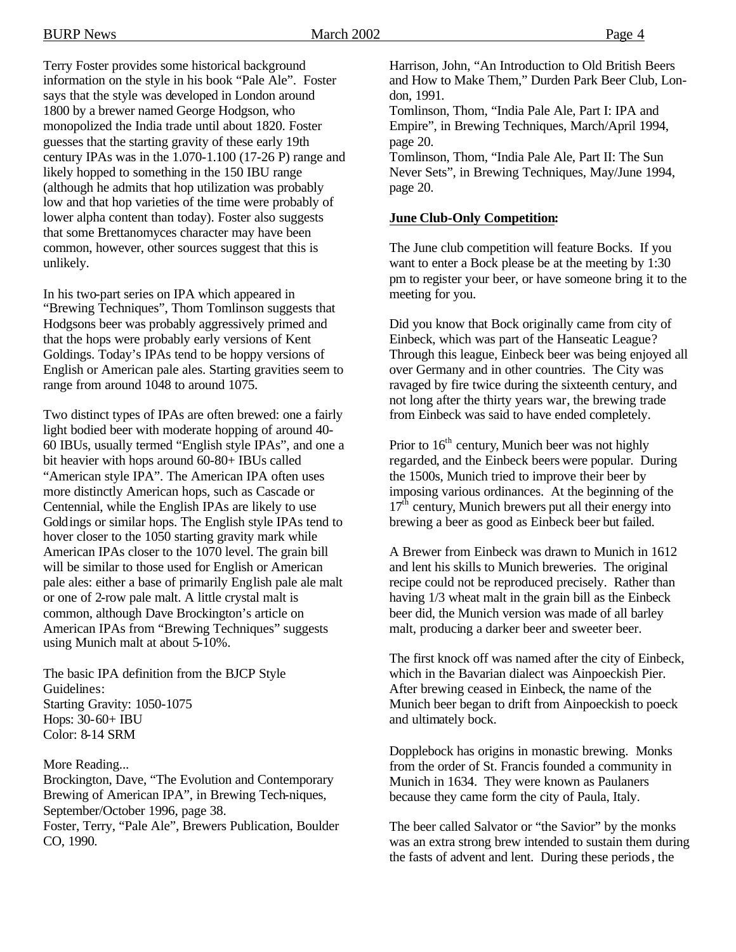BURP News Page 4

Terry Foster provides some historical background information on the style in his book "Pale Ale". Foster says that the style was developed in London around 1800 by a brewer named George Hodgson, who monopolized the India trade until about 1820. Foster guesses that the starting gravity of these early 19th century IPAs was in the 1.070-1.100 (17-26 P) range and likely hopped to something in the 150 IBU range (although he admits that hop utilization was probably low and that hop varieties of the time were probably of lower alpha content than today). Foster also suggests that some Brettanomyces character may have been common, however, other sources suggest that this is unlikely.

In his two-part series on IPA which appeared in "Brewing Techniques", Thom Tomlinson suggests that Hodgsons beer was probably aggressively primed and that the hops were probably early versions of Kent Goldings. Today's IPAs tend to be hoppy versions of English or American pale ales. Starting gravities seem to range from around 1048 to around 1075.

Two distinct types of IPAs are often brewed: one a fairly light bodied beer with moderate hopping of around 40- 60 IBUs, usually termed "English style IPAs", and one a bit heavier with hops around 60-80+ IBUs called "American style IPA". The American IPA often uses more distinctly American hops, such as Cascade or Centennial, while the English IPAs are likely to use Goldings or similar hops. The English style IPAs tend to hover closer to the 1050 starting gravity mark while American IPAs closer to the 1070 level. The grain bill will be similar to those used for English or American pale ales: either a base of primarily English pale ale malt or one of 2-row pale malt. A little crystal malt is common, although Dave Brockington's article on American IPAs from "Brewing Techniques" suggests using Munich malt at about 5-10%.

The basic IPA definition from the BJCP Style Guidelines: Starting Gravity: 1050-1075 Hops: 30-60+ IBU Color: 8-14 SRM

More Reading...

Brockington, Dave, "The Evolution and Contemporary Brewing of American IPA", in Brewing Tech-niques, September/October 1996, page 38. Foster, Terry, "Pale Ale", Brewers Publication, Boulder CO, 1990.

Harrison, John, "An Introduction to Old British Beers and How to Make Them," Durden Park Beer Club, London, 1991.

Tomlinson, Thom, "India Pale Ale, Part I: IPA and Empire", in Brewing Techniques, March/April 1994, page 20.

Tomlinson, Thom, "India Pale Ale, Part II: The Sun Never Sets", in Brewing Techniques, May/June 1994, page 20.

### **June Club-Only Competition:**

The June club competition will feature Bocks. If you want to enter a Bock please be at the meeting by 1:30 pm to register your beer, or have someone bring it to the meeting for you.

Did you know that Bock originally came from city of Einbeck, which was part of the Hanseatic League? Through this league, Einbeck beer was being enjoyed all over Germany and in other countries. The City was ravaged by fire twice during the sixteenth century, and not long after the thirty years war, the brewing trade from Einbeck was said to have ended completely.

Prior to  $16<sup>th</sup>$  century, Munich beer was not highly regarded, and the Einbeck beers were popular. During the 1500s, Munich tried to improve their beer by imposing various ordinances. At the beginning of the  $17<sup>th</sup>$  century, Munich brewers put all their energy into brewing a beer as good as Einbeck beer but failed.

A Brewer from Einbeck was drawn to Munich in 1612 and lent his skills to Munich breweries. The original recipe could not be reproduced precisely. Rather than having 1/3 wheat malt in the grain bill as the Einbeck beer did, the Munich version was made of all barley malt, producing a darker beer and sweeter beer.

The first knock off was named after the city of Einbeck, which in the Bavarian dialect was Ainpoeckish Pier. After brewing ceased in Einbeck, the name of the Munich beer began to drift from Ainpoeckish to poeck and ultimately bock.

Dopplebock has origins in monastic brewing. Monks from the order of St. Francis founded a community in Munich in 1634. They were known as Paulaners because they came form the city of Paula, Italy.

The beer called Salvator or "the Savior" by the monks was an extra strong brew intended to sustain them during the fasts of advent and lent. During these periods, the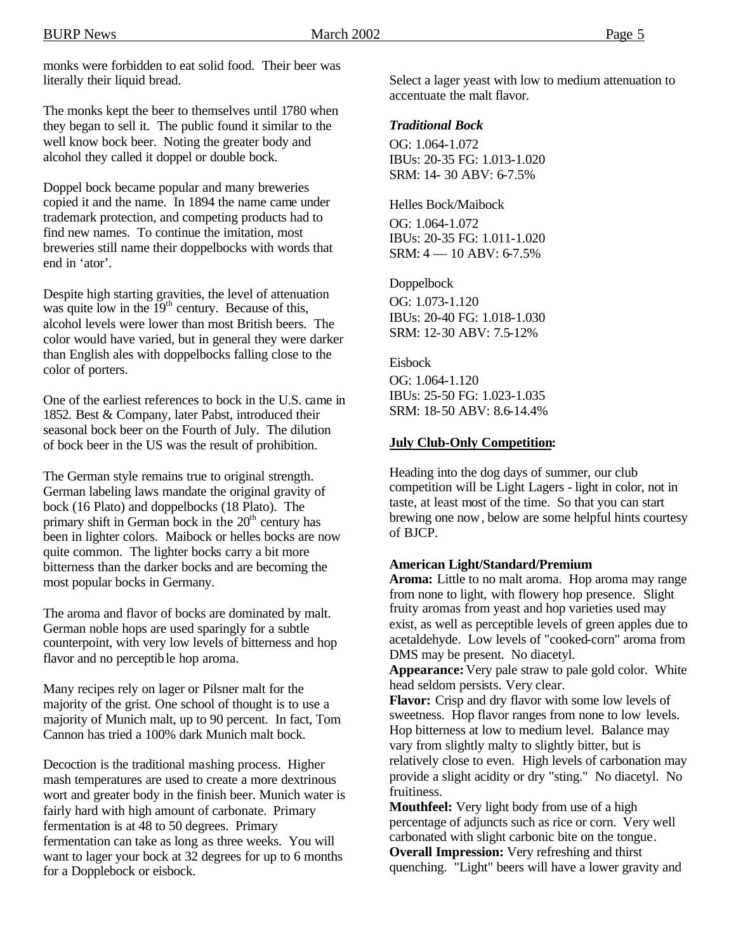monks were forbidden to eat solid food. Their beer was literally their liquid bread.

The monks kept the beer to themselves until 1780 when they began to sell it. The public found it similar to the well know bock beer. Noting the greater body and alcohol they called it doppel or double bock.

Doppel bock became popular and many breweries copied it and the name. In 1894 the name came under trademark protection, and competing products had to find new names. To continue the imitation, most breweries still name their doppelbocks with words that end in 'ator'.

Despite high starting gravities, the level of attenuation was quite low in the  $19<sup>th</sup>$  century. Because of this, alcohol levels were lower than most British beers. The color would have varied, but in general they were darker than English ales with doppelbocks falling close to the color of porters.

One of the earliest references to bock in the U.S. came in 1852. Best & Company, later Pabst, introduced their seasonal bock beer on the Fourth of July. The dilution of bock beer in the US was the result of prohibition.

The German style remains true to original strength. German labeling laws mandate the original gravity of bock (16 Plato) and doppelbocks (18 Plato). The primary shift in German bock in the  $20<sup>th</sup>$  century has been in lighter colors. Maibock or helles bocks are now quite common. The lighter bocks carry a bit more bitterness than the darker bocks and are becoming the most popular bocks in Germany.

The aroma and flavor of bocks are dominated by malt. German noble hops are used sparingly for a subtle counterpoint, with very low levels of bitterness and hop flavor and no perceptible hop aroma.

Many recipes rely on lager or Pilsner malt for the majority of the grist. One school of thought is to use a majority of Munich malt, up to 90 percent. In fact, Tom Cannon has tried a 100% dark Munich malt bock.

Decoction is the traditional mashing process. Higher mash temperatures are used to create a more dextrinous wort and greater body in the finish beer. Munich water is fairly hard with high amount of carbonate. Primary fermentation is at 48 to 50 degrees. Primary fermentation can take as long as three weeks. You will want to lager your bock at 32 degrees for up to 6 months for a Dopplebock or eisbock.

Select a lager yeast with low to medium attenuation to accentuate the malt flavor.

### *Traditional Bock*

OG: 1.064-1.072 IBUs: 20-35 FG: 1.013-1.020 SRM: 14- 30 ABV: 6-7.5%

Helles Bock/Maibock

OG: 1.064-1.072 IBUs: 20-35 FG: 1.011-1.020 SRM: 4 — 10 ABV: 6-7.5%

Doppelbock

OG: 1.073-1.120 IBUs: 20-40 FG: 1.018-1.030 SRM: 12-30 ABV: 7.5-12%

Eisbock

OG: 1.064-1.120 IBUs: 25-50 FG: 1.023-1.035 SRM: 18-50 ABV: 8.6-14.4%

#### **July Club-Only Competition:**

Heading into the dog days of summer, our club competition will be Light Lagers - light in color, not in taste, at least most of the time. So that you can start brewing one now, below are some helpful hints courtesy of BJCP.

#### **American Light/Standard/Premium**

**Aroma:** Little to no malt aroma. Hop aroma may range from none to light, with flowery hop presence. Slight fruity aromas from yeast and hop varieties used may exist, as well as perceptible levels of green apples due to acetaldehyde. Low levels of "cooked-corn" aroma from DMS may be present. No diacetyl.

**Appearance:** Very pale straw to pale gold color. White head seldom persists. Very clear.

**Flavor:** Crisp and dry flavor with some low levels of sweetness. Hop flavor ranges from none to low levels. Hop bitterness at low to medium level. Balance may vary from slightly malty to slightly bitter, but is relatively close to even. High levels of carbonation may provide a slight acidity or dry "sting." No diacetyl. No fruitiness.

**Mouthfeel:** Very light body from use of a high percentage of adjuncts such as rice or corn. Very well carbonated with slight carbonic bite on the tongue. **Overall Impression:** Very refreshing and thirst quenching. "Light" beers will have a lower gravity and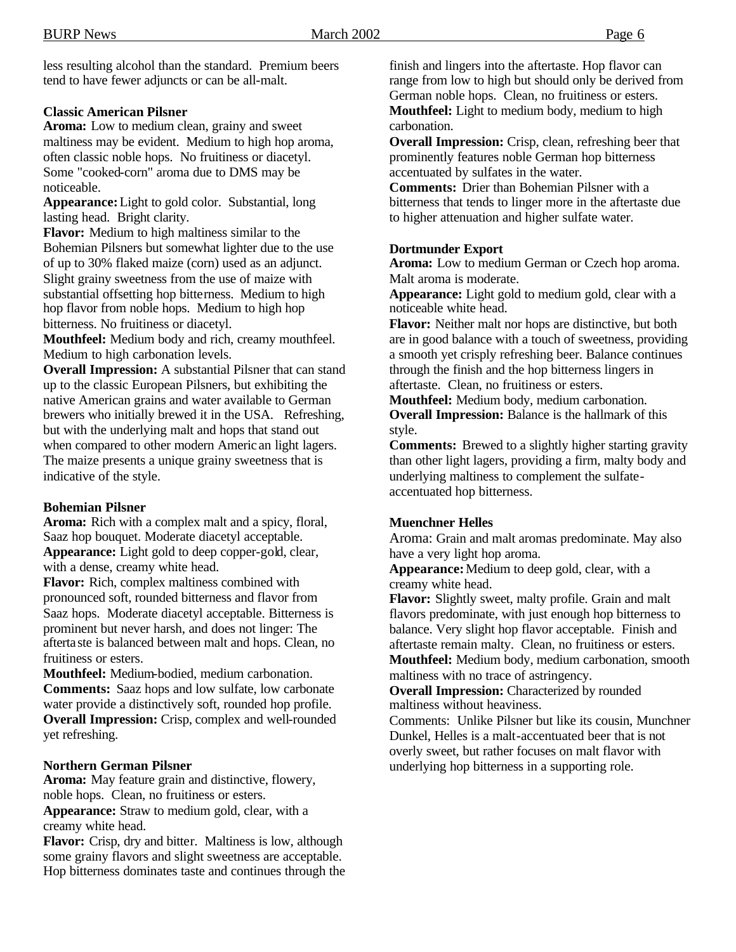less resulting alcohol than the standard. Premium beers tend to have fewer adjuncts or can be all-malt.

#### **Classic American Pilsner**

**Aroma:** Low to medium clean, grainy and sweet maltiness may be evident. Medium to high hop aroma, often classic noble hops. No fruitiness or diacetyl. Some "cooked-corn" aroma due to DMS may be noticeable.

**Appearance:** Light to gold color. Substantial, long lasting head. Bright clarity.

**Flavor:** Medium to high maltiness similar to the Bohemian Pilsners but somewhat lighter due to the use of up to 30% flaked maize (corn) used as an adjunct. Slight grainy sweetness from the use of maize with substantial offsetting hop bitterness. Medium to high hop flavor from noble hops. Medium to high hop bitterness. No fruitiness or diacetyl.

**Mouthfeel:** Medium body and rich, creamy mouthfeel. Medium to high carbonation levels.

**Overall Impression:** A substantial Pilsner that can stand up to the classic European Pilsners, but exhibiting the native American grains and water available to German brewers who initially brewed it in the USA. Refreshing, but with the underlying malt and hops that stand out when compared to other modern Americ an light lagers. The maize presents a unique grainy sweetness that is indicative of the style.

#### **Bohemian Pilsner**

**Aroma:** Rich with a complex malt and a spicy, floral, Saaz hop bouquet. Moderate diacetyl acceptable. **Appearance:** Light gold to deep copper-gold, clear, with a dense, creamy white head.

**Flavor:** Rich, complex maltiness combined with pronounced soft, rounded bitterness and flavor from Saaz hops. Moderate diacetyl acceptable. Bitterness is prominent but never harsh, and does not linger: The afterta ste is balanced between malt and hops. Clean, no fruitiness or esters.

**Mouthfeel:** Medium-bodied, medium carbonation. **Comments:** Saaz hops and low sulfate, low carbonate water provide a distinctively soft, rounded hop profile. **Overall Impression:** Crisp, complex and well-rounded yet refreshing.

#### **Northern German Pilsner**

**Aroma:** May feature grain and distinctive, flowery, noble hops. Clean, no fruitiness or esters. **Appearance:** Straw to medium gold, clear, with a creamy white head.

**Flavor:** Crisp, dry and bitter. Maltiness is low, although some grainy flavors and slight sweetness are acceptable. Hop bitterness dominates taste and continues through the finish and lingers into the aftertaste. Hop flavor can range from low to high but should only be derived from German noble hops. Clean, no fruitiness or esters. **Mouthfeel:** Light to medium body, medium to high carbonation.

**Overall Impression:** Crisp, clean, refreshing beer that prominently features noble German hop bitterness accentuated by sulfates in the water.

**Comments:** Drier than Bohemian Pilsner with a bitterness that tends to linger more in the aftertaste due to higher attenuation and higher sulfate water.

#### **Dortmunder Export**

**Aroma:** Low to medium German or Czech hop aroma. Malt aroma is moderate.

**Appearance:** Light gold to medium gold, clear with a noticeable white head.

**Flavor:** Neither malt nor hops are distinctive, but both are in good balance with a touch of sweetness, providing a smooth yet crisply refreshing beer. Balance continues through the finish and the hop bitterness lingers in aftertaste. Clean, no fruitiness or esters.

**Mouthfeel:** Medium body, medium carbonation. **Overall Impression:** Balance is the hallmark of this style.

**Comments:** Brewed to a slightly higher starting gravity than other light lagers, providing a firm, malty body and underlying maltiness to complement the sulfateaccentuated hop bitterness.

#### **Muenchner Helles**

Aroma: Grain and malt aromas predominate. May also have a very light hop aroma.

**Appearance:** Medium to deep gold, clear, with a creamy white head.

**Flavor:** Slightly sweet, malty profile. Grain and malt flavors predominate, with just enough hop bitterness to balance. Very slight hop flavor acceptable. Finish and aftertaste remain malty. Clean, no fruitiness or esters. **Mouthfeel:** Medium body, medium carbonation, smooth maltiness with no trace of astringency.

**Overall Impression:** Characterized by rounded maltiness without heaviness.

Comments: Unlike Pilsner but like its cousin, Munchner Dunkel, Helles is a malt-accentuated beer that is not overly sweet, but rather focuses on malt flavor with underlying hop bitterness in a supporting role.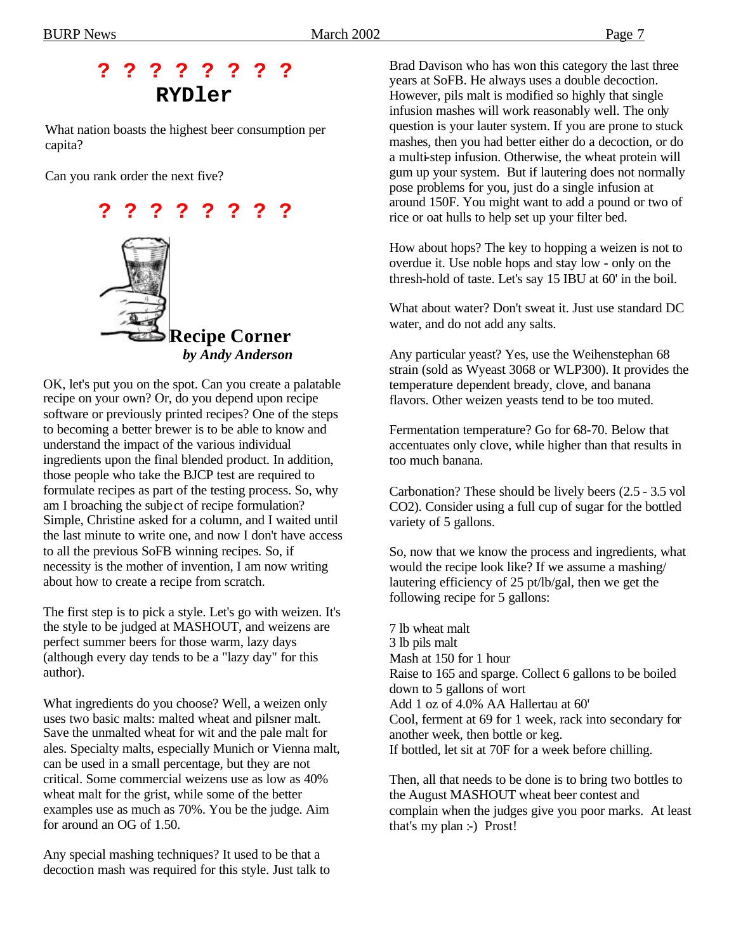# **? ? ? ? ? ? ? ? RYDler**

What nation boasts the highest beer consumption per capita?

Can you rank order the next five?



OK, let's put you on the spot. Can you create a palatable recipe on your own? Or, do you depend upon recipe software or previously printed recipes? One of the steps to becoming a better brewer is to be able to know and understand the impact of the various individual ingredients upon the final blended product. In addition, those people who take the BJCP test are required to formulate recipes as part of the testing process. So, why am I broaching the subje ct of recipe formulation? Simple, Christine asked for a column, and I waited until the last minute to write one, and now I don't have access to all the previous SoFB winning recipes. So, if necessity is the mother of invention, I am now writing about how to create a recipe from scratch.

The first step is to pick a style. Let's go with weizen. It's the style to be judged at MASHOUT, and weizens are perfect summer beers for those warm, lazy days (although every day tends to be a "lazy day" for this author).

What ingredients do you choose? Well, a weizen only uses two basic malts: malted wheat and pilsner malt. Save the unmalted wheat for wit and the pale malt for ales. Specialty malts, especially Munich or Vienna malt, can be used in a small percentage, but they are not critical. Some commercial weizens use as low as 40% wheat malt for the grist, while some of the better examples use as much as 70%. You be the judge. Aim for around an OG of 1.50.

Any special mashing techniques? It used to be that a decoction mash was required for this style. Just talk to Brad Davison who has won this category the last three years at SoFB. He always uses a double decoction. However, pils malt is modified so highly that single infusion mashes will work reasonably well. The only question is your lauter system. If you are prone to stuck mashes, then you had better either do a decoction, or do a multi-step infusion. Otherwise, the wheat protein will gum up your system. But if lautering does not normally pose problems for you, just do a single infusion at around 150F. You might want to add a pound or two of rice or oat hulls to help set up your filter bed.

How about hops? The key to hopping a weizen is not to overdue it. Use noble hops and stay low - only on the thresh-hold of taste. Let's say 15 IBU at 60' in the boil.

What about water? Don't sweat it. Just use standard DC water, and do not add any salts.

Any particular yeast? Yes, use the Weihenstephan 68 strain (sold as Wyeast 3068 or WLP300). It provides the temperature dependent bready, clove, and banana flavors. Other weizen yeasts tend to be too muted.

Fermentation temperature? Go for 68-70. Below that accentuates only clove, while higher than that results in too much banana.

Carbonation? These should be lively beers (2.5 - 3.5 vol CO2). Consider using a full cup of sugar for the bottled variety of 5 gallons.

So, now that we know the process and ingredients, what would the recipe look like? If we assume a mashing/ lautering efficiency of 25 pt/lb/gal, then we get the following recipe for 5 gallons:

7 lb wheat malt 3 lb pils malt Mash at 150 for 1 hour Raise to 165 and sparge. Collect 6 gallons to be boiled down to 5 gallons of wort Add 1 oz of 4.0% AA Hallertau at 60' Cool, ferment at 69 for 1 week, rack into secondary for another week, then bottle or keg. If bottled, let sit at 70F for a week before chilling.

Then, all that needs to be done is to bring two bottles to the August MASHOUT wheat beer contest and complain when the judges give you poor marks. At least that's my plan :-) Prost!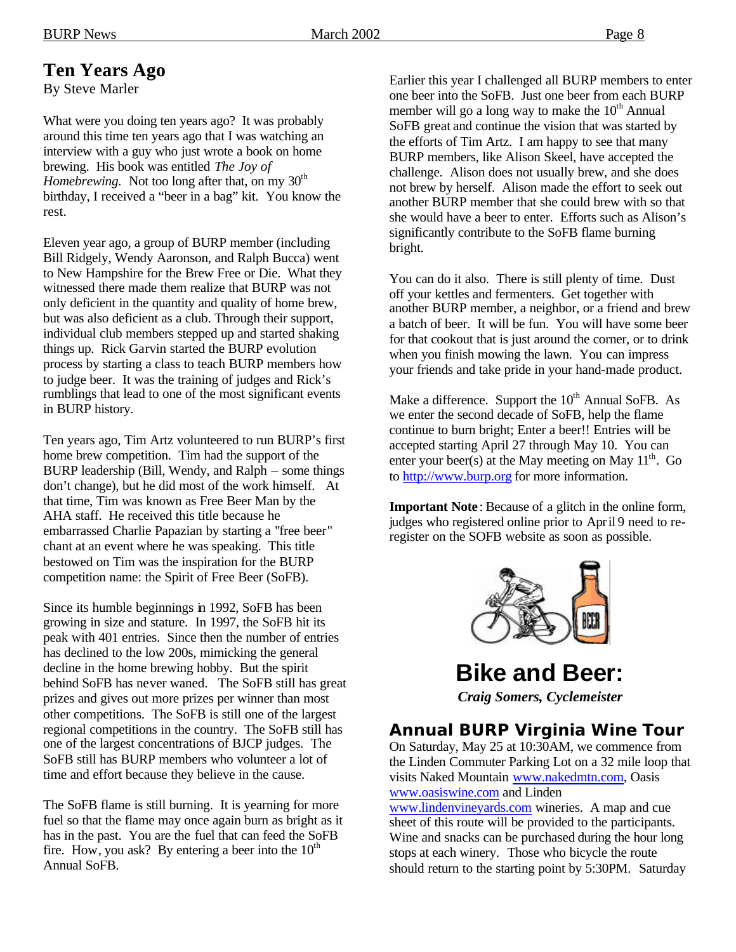# **Ten Years Ago**

By Steve Marler

What were you doing ten years ago? It was probably around this time ten years ago that I was watching an interview with a guy who just wrote a book on home brewing. His book was entitled *The Joy of Homebrewing.* Not too long after that, on my 30<sup>th</sup> birthday, I received a "beer in a bag" kit. You know the rest.

Eleven year ago, a group of BURP member (including Bill Ridgely, Wendy Aaronson, and Ralph Bucca) went to New Hampshire for the Brew Free or Die. What they witnessed there made them realize that BURP was not only deficient in the quantity and quality of home brew, but was also deficient as a club. Through their support, individual club members stepped up and started shaking things up. Rick Garvin started the BURP evolution process by starting a class to teach BURP members how to judge beer. It was the training of judges and Rick's rumblings that lead to one of the most significant events in BURP history.

Ten years ago, Tim Artz volunteered to run BURP's first home brew competition. Tim had the support of the BURP leadership (Bill, Wendy, and Ralph – some things don't change), but he did most of the work himself. At that time, Tim was known as Free Beer Man by the AHA staff. He received this title because he embarrassed Charlie Papazian by starting a "free beer" chant at an event where he was speaking. This title bestowed on Tim was the inspiration for the BURP competition name: the Spirit of Free Beer (SoFB).

Since its humble beginnings in 1992, SoFB has been growing in size and stature. In 1997, the SoFB hit its peak with 401 entries. Since then the number of entries has declined to the low 200s, mimicking the general decline in the home brewing hobby. But the spirit behind SoFB has never waned. The SoFB still has great prizes and gives out more prizes per winner than most other competitions. The SoFB is still one of the largest regional competitions in the country. The SoFB still has one of the largest concentrations of BJCP judges. The SoFB still has BURP members who volunteer a lot of time and effort because they believe in the cause.

The SoFB flame is still burning. It is yearning for more fuel so that the flame may once again burn as bright as it has in the past. You are the fuel that can feed the SoFB fire. How, you ask? By entering a beer into the  $10<sup>th</sup>$ Annual SoFB.

Earlier this year I challenged all BURP members to enter one beer into the SoFB. Just one beer from each BURP member will go a long way to make the  $10<sup>th</sup>$  Annual SoFB great and continue the vision that was started by the efforts of Tim Artz. I am happy to see that many BURP members, like Alison Skeel, have accepted the challenge. Alison does not usually brew, and she does not brew by herself. Alison made the effort to seek out another BURP member that she could brew with so that she would have a beer to enter. Efforts such as Alison's significantly contribute to the SoFB flame burning bright.

You can do it also. There is still plenty of time. Dust off your kettles and fermenters. Get together with another BURP member, a neighbor, or a friend and brew a batch of beer. It will be fun. You will have some beer for that cookout that is just around the corner, or to drink when you finish mowing the lawn. You can impress your friends and take pride in your hand-made product.

Make a difference. Support the  $10^{th}$  Annual SoFB. As we enter the second decade of SoFB, help the flame continue to burn bright; Enter a beer!! Entries will be accepted starting April 27 through May 10. You can enter your beer(s) at the May meeting on May  $11<sup>th</sup>$ . Go to http://www.burp.org for more information.

**Important Note** : Because of a glitch in the online form, judges who registered online prior to April 9 need to reregister on the SOFB website as soon as possible.



**Bike and Beer:** *Craig Somers, Cyclemeister*

## **Annual BURP Virginia Wine Tour**

On Saturday, May 25 at 10:30AM, we commence from the Linden Commuter Parking Lot on a 32 mile loop that visits Naked Mountain www.nakedmtn.com, Oasis www.oasiswine.com and Linden

www.lindenvineyards.com wineries. A map and cue sheet of this route will be provided to the participants. Wine and snacks can be purchased during the hour long stops at each winery. Those who bicycle the route should return to the starting point by 5:30PM. Saturday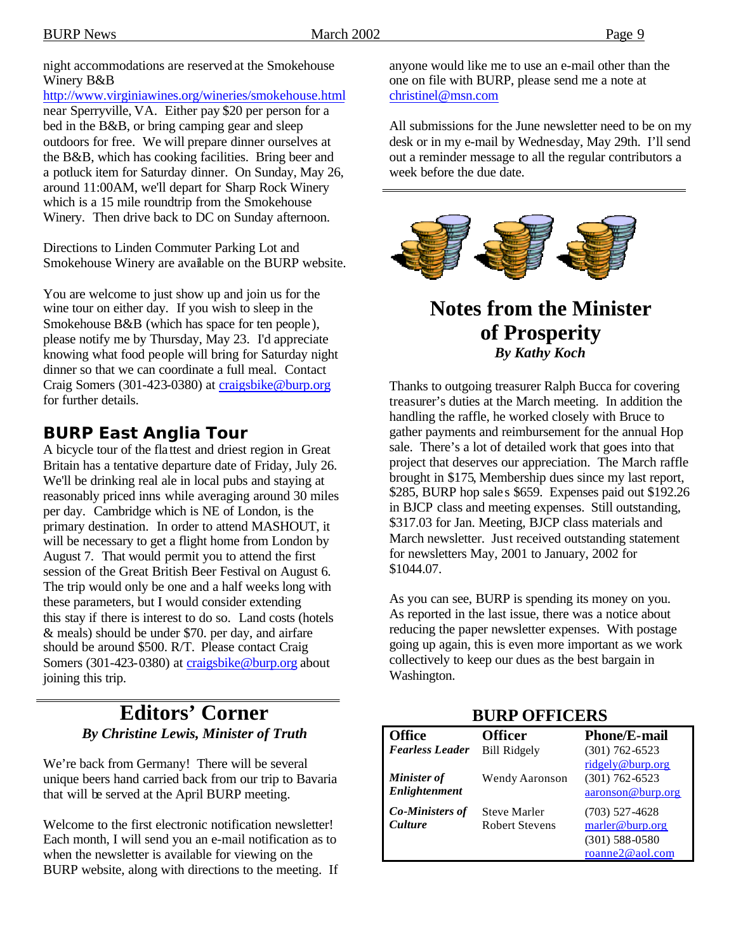night accommodations are reserved at the Smokehouse Winery B&B

http://www.virginiawines.org/wineries/smokehouse.html near Sperryville, VA. Either pay \$20 per person for a bed in the B&B, or bring camping gear and sleep outdoors for free. We will prepare dinner ourselves at the B&B, which has cooking facilities. Bring beer and a potluck item for Saturday dinner. On Sunday, May 26, around 11:00AM, we'll depart for Sharp Rock Winery which is a 15 mile roundtrip from the Smokehouse Winery. Then drive back to DC on Sunday afternoon.

Directions to Linden Commuter Parking Lot and Smokehouse Winery are available on the BURP website.

You are welcome to just show up and join us for the wine tour on either day. If you wish to sleep in the Smokehouse B&B (which has space for ten people), please notify me by Thursday, May 23. I'd appreciate knowing what food people will bring for Saturday night dinner so that we can coordinate a full meal. Contact Craig Somers (301-423-0380) at craigsbike@burp.org for further details.

# **BURP East Anglia Tour**

A bicycle tour of the flattest and driest region in Great Britain has a tentative departure date of Friday, July 26. We'll be drinking real ale in local pubs and staying at reasonably priced inns while averaging around 30 miles per day. Cambridge which is NE of London, is the primary destination. In order to attend MASHOUT, it will be necessary to get a flight home from London by August 7. That would permit you to attend the first session of the Great British Beer Festival on August 6. The trip would only be one and a half weeks long with these parameters, but I would consider extending this stay if there is interest to do so. Land costs (hotels & meals) should be under \$70. per day, and airfare should be around \$500. R/T. Please contact Craig Somers (301-423-0380) at craigsbike@burp.org about joining this trip.

# **Editors' Corner** *By Christine Lewis, Minister of Truth*

We're back from Germany! There will be several unique beers hand carried back from our trip to Bavaria that will be served at the April BURP meeting.

Welcome to the first electronic notification newsletter! Each month, I will send you an e-mail notification as to when the newsletter is available for viewing on the BURP website, along with directions to the meeting. If anyone would like me to use an e-mail other than the one on file with BURP, please send me a note at christinel@msn.com

All submissions for the June newsletter need to be on my desk or in my e-mail by Wednesday, May 29th. I'll send out a reminder message to all the regular contributors a week before the due date.



# **Notes from the Minister of Prosperity** *By Kathy Koch*

Thanks to outgoing treasurer Ralph Bucca for covering treasurer's duties at the March meeting. In addition the handling the raffle, he worked closely with Bruce to gather payments and reimbursement for the annual Hop sale. There's a lot of detailed work that goes into that project that deserves our appreciation. The March raffle brought in \$175, Membership dues since my last report, \$285, BURP hop sales \$659. Expenses paid out \$192.26 in BJCP class and meeting expenses. Still outstanding, \$317.03 for Jan. Meeting, BJCP class materials and March newsletter. Just received outstanding statement for newsletters May, 2001 to January, 2002 for \$1044.07.

As you can see, BURP is spending its money on you. As reported in the last issue, there was a notice about reducing the paper newsletter expenses. With postage going up again, this is even more important as we work collectively to keep our dues as the best bargain in Washington.

| <b>Office</b>                            | <b>Officer</b>                               | <b>Phone/E-mail</b>                                                        |  |
|------------------------------------------|----------------------------------------------|----------------------------------------------------------------------------|--|
| <b>Fearless Leader</b>                   | <b>Bill Ridgely</b>                          | $(301)$ 762-6523                                                           |  |
| Minister of<br>Enlightenment             | <b>Wendy Aaronson</b>                        | ridgely@burp.org<br>$(301) 762 - 6523$<br>aaronson@burp.org                |  |
| <b>Co-Ministers of</b><br><b>Culture</b> | <b>Steve Marler</b><br><b>Robert Stevens</b> | $(703)$ 527-4628<br>marler@burp.org<br>$(301)$ 588-0580<br>roanne2@aol.com |  |

### **BURP OFFICERS**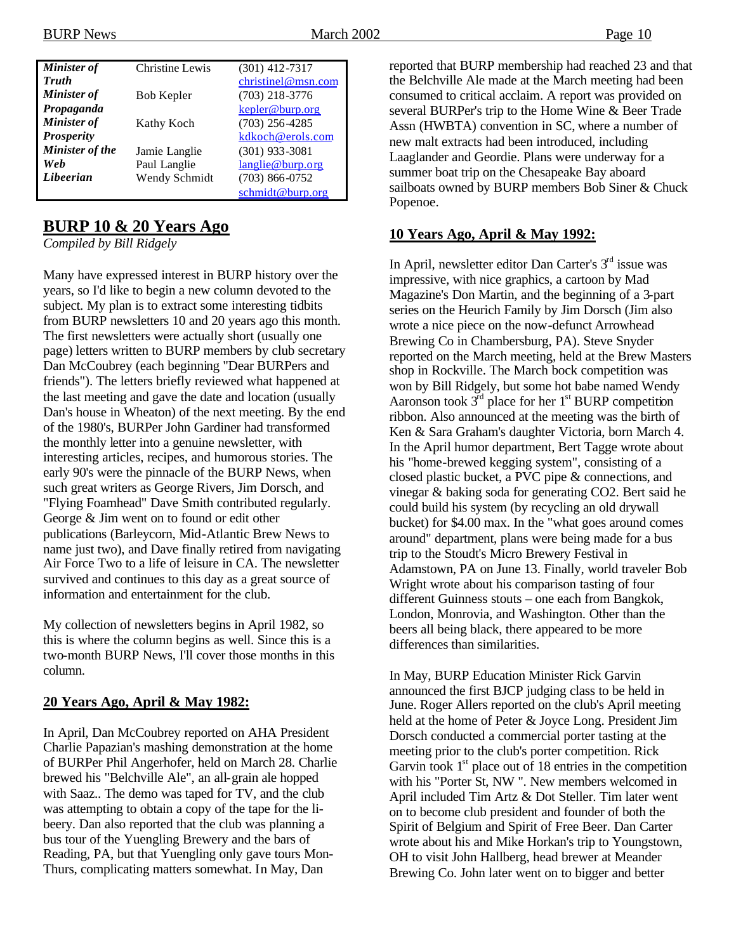| Minister of        | <b>Christine Lewis</b> | $(301)$ 412-7317   |
|--------------------|------------------------|--------------------|
| <b>Truth</b>       |                        | christinel@msn.com |
| <b>Minister of</b> | Bob Kepler             | $(703)$ 218-3776   |
| Propaganda         |                        | kepler@burp.org    |
| <b>Minister</b> of | Kathy Koch             | $(703)$ 256-4285   |
| <b>Prosperity</b>  |                        | kdkoch@erols.com   |
| Minister of the    | Jamie Langlie          | $(301)$ 933-3081   |
| Web                | Paul Langlie           | langlie@burp.org   |
| Libeerian          | Wendy Schmidt          | $(703)$ 866-0752   |
|                    |                        | schmidt@burp.org   |

## **BURP 10 & 20 Years Ago**

*Compiled by Bill Ridgely*

Many have expressed interest in BURP history over the years, so I'd like to begin a new column devoted to the subject. My plan is to extract some interesting tidbits from BURP newsletters 10 and 20 years ago this month. The first newsletters were actually short (usually one page) letters written to BURP members by club secretary Dan McCoubrey (each beginning "Dear BURPers and friends"). The letters briefly reviewed what happened at the last meeting and gave the date and location (usually Dan's house in Wheaton) of the next meeting. By the end of the 1980's, BURPer John Gardiner had transformed the monthly letter into a genuine newsletter, with interesting articles, recipes, and humorous stories. The early 90's were the pinnacle of the BURP News, when such great writers as George Rivers, Jim Dorsch, and "Flying Foamhead" Dave Smith contributed regularly. George & Jim went on to found or edit other publications (Barleycorn, Mid-Atlantic Brew News to name just two), and Dave finally retired from navigating Air Force Two to a life of leisure in CA. The newsletter survived and continues to this day as a great source of information and entertainment for the club.

My collection of newsletters begins in April 1982, so this is where the column begins as well. Since this is a two-month BURP News, I'll cover those months in this column.

### **20 Years Ago, April & May 1982:**

In April, Dan McCoubrey reported on AHA President Charlie Papazian's mashing demonstration at the home of BURPer Phil Angerhofer, held on March 28. Charlie brewed his "Belchville Ale", an all-grain ale hopped with Saaz.. The demo was taped for TV, and the club was attempting to obtain a copy of the tape for the libeery. Dan also reported that the club was planning a bus tour of the Yuengling Brewery and the bars of Reading, PA, but that Yuengling only gave tours Mon-Thurs, complicating matters somewhat. In May, Dan

reported that BURP membership had reached 23 and that the Belchville Ale made at the March meeting had been consumed to critical acclaim. A report was provided on several BURPer's trip to the Home Wine & Beer Trade Assn (HWBTA) convention in SC, where a number of new malt extracts had been introduced, including Laaglander and Geordie. Plans were underway for a summer boat trip on the Chesapeake Bay aboard sailboats owned by BURP members Bob Siner & Chuck Popenoe.

### **10 Years Ago, April & May 1992:**

In April, newsletter editor Dan Carter's  $3<sup>rd</sup>$  issue was impressive, with nice graphics, a cartoon by Mad Magazine's Don Martin, and the beginning of a 3-part series on the Heurich Family by Jim Dorsch (Jim also wrote a nice piece on the now-defunct Arrowhead Brewing Co in Chambersburg, PA). Steve Snyder reported on the March meeting, held at the Brew Masters shop in Rockville. The March bock competition was won by Bill Ridgely, but some hot babe named Wendy Aaronson took  $3<sup>rd</sup>$  place for her  $1<sup>st</sup>$  BURP competition ribbon. Also announced at the meeting was the birth of Ken & Sara Graham's daughter Victoria, born March 4. In the April humor department, Bert Tagge wrote about his "home-brewed kegging system", consisting of a closed plastic bucket, a PVC pipe & connections, and vinegar & baking soda for generating CO2. Bert said he could build his system (by recycling an old drywall bucket) for \$4.00 max. In the "what goes around comes around" department, plans were being made for a bus trip to the Stoudt's Micro Brewery Festival in Adamstown, PA on June 13. Finally, world traveler Bob Wright wrote about his comparison tasting of four different Guinness stouts – one each from Bangkok, London, Monrovia, and Washington. Other than the beers all being black, there appeared to be more differences than similarities.

In May, BURP Education Minister Rick Garvin announced the first BJCP judging class to be held in June. Roger Allers reported on the club's April meeting held at the home of Peter & Joyce Long. President Jim Dorsch conducted a commercial porter tasting at the meeting prior to the club's porter competition. Rick Garvin took  $1<sup>st</sup>$  place out of 18 entries in the competition with his "Porter St, NW ". New members welcomed in April included Tim Artz & Dot Steller. Tim later went on to become club president and founder of both the Spirit of Belgium and Spirit of Free Beer. Dan Carter wrote about his and Mike Horkan's trip to Youngstown, OH to visit John Hallberg, head brewer at Meander Brewing Co. John later went on to bigger and better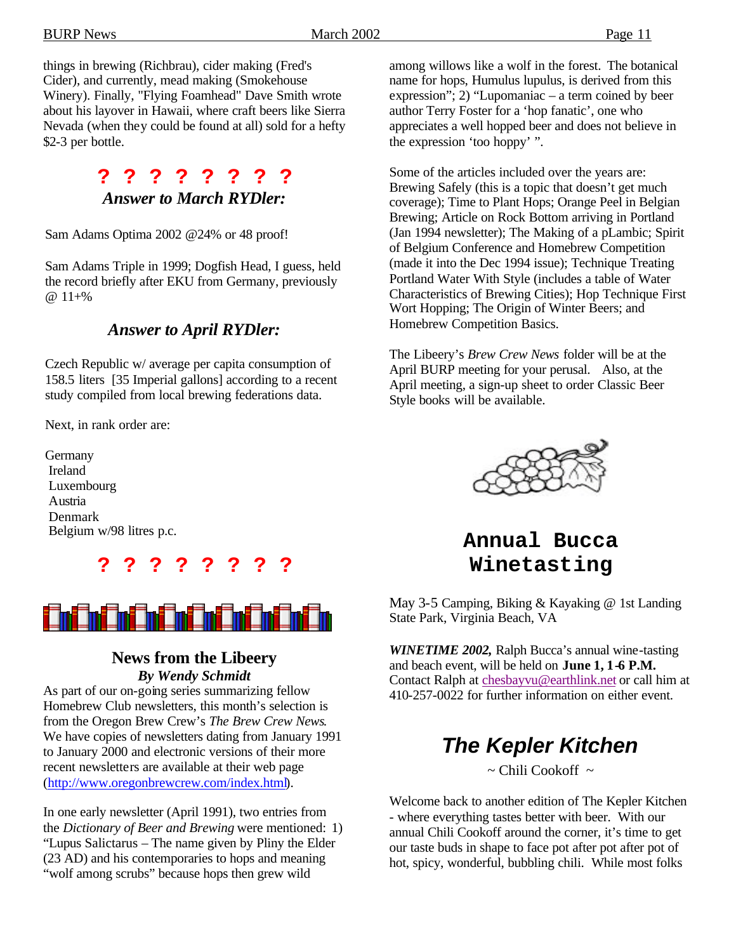things in brewing (Richbrau), cider making (Fred's Cider), and currently, mead making (Smokehouse Winery). Finally, "Flying Foamhead" Dave Smith wrote about his layover in Hawaii, where craft beers like Sierra Nevada (when they could be found at all) sold for a hefty \$2-3 per bottle.

# **? ? ? ? ? ? ? ?**  *Answer to March RYDler:*

Sam Adams Optima 2002 @24% or 48 proof!

Sam Adams Triple in 1999; Dogfish Head, I guess, held the record briefly after EKU from Germany, previously @ 11+%

### *Answer to April RYDler:*

Czech Republic w/ average per capita consumption of 158.5 liters [35 Imperial gallons] according to a recent study compiled from local brewing federations data.

Next, in rank order are:

**Germany** Ireland Luxembourg Austria Denmark Belgium w/98 litres p.c.





### **News from the Libeery** *By Wendy Schmidt*

As part of our on-going series summarizing fellow Homebrew Club newsletters, this month's selection is from the Oregon Brew Crew's *The Brew Crew News*. We have copies of newsletters dating from January 1991 to January 2000 and electronic versions of their more recent newsletters are available at their web page (http://www.oregonbrewcrew.com/index.html).

In one early newsletter (April 1991), two entries from the *Dictionary of Beer and Brewing* were mentioned: 1) "Lupus Salictarus – The name given by Pliny the Elder (23 AD) and his contemporaries to hops and meaning "wolf among scrubs" because hops then grew wild

among willows like a wolf in the forest. The botanical name for hops, Humulus lupulus, is derived from this expression"; 2) "Lupomaniac – a term coined by beer author Terry Foster for a 'hop fanatic', one who appreciates a well hopped beer and does not believe in the expression 'too hoppy' ".

Some of the articles included over the years are: Brewing Safely (this is a topic that doesn't get much coverage); Time to Plant Hops; Orange Peel in Belgian Brewing; Article on Rock Bottom arriving in Portland (Jan 1994 newsletter); The Making of a pLambic; Spirit of Belgium Conference and Homebrew Competition (made it into the Dec 1994 issue); Technique Treating Portland Water With Style (includes a table of Water Characteristics of Brewing Cities); Hop Technique First Wort Hopping; The Origin of Winter Beers; and Homebrew Competition Basics.

The Libeery's *Brew Crew News* folder will be at the April BURP meeting for your perusal. Also, at the April meeting, a sign-up sheet to order Classic Beer Style books will be available.



# **Annual Bucca Winetasting**

May 3-5 Camping, Biking & Kayaking @ 1st Landing State Park, Virginia Beach, VA

*WINETIME 2002,* Ralph Bucca's annual wine-tasting and beach event, will be held on **June 1, 1-6 P.M.** Contact Ralph at chesbayvu@earthlink.net or call him at 410-257-0022 for further information on either event.

# *The Kepler Kitchen*

 $\sim$  Chili Cookoff  $\sim$ 

Welcome back to another edition of The Kepler Kitchen - where everything tastes better with beer. With our annual Chili Cookoff around the corner, it's time to get our taste buds in shape to face pot after pot after pot of hot, spicy, wonderful, bubbling chili. While most folks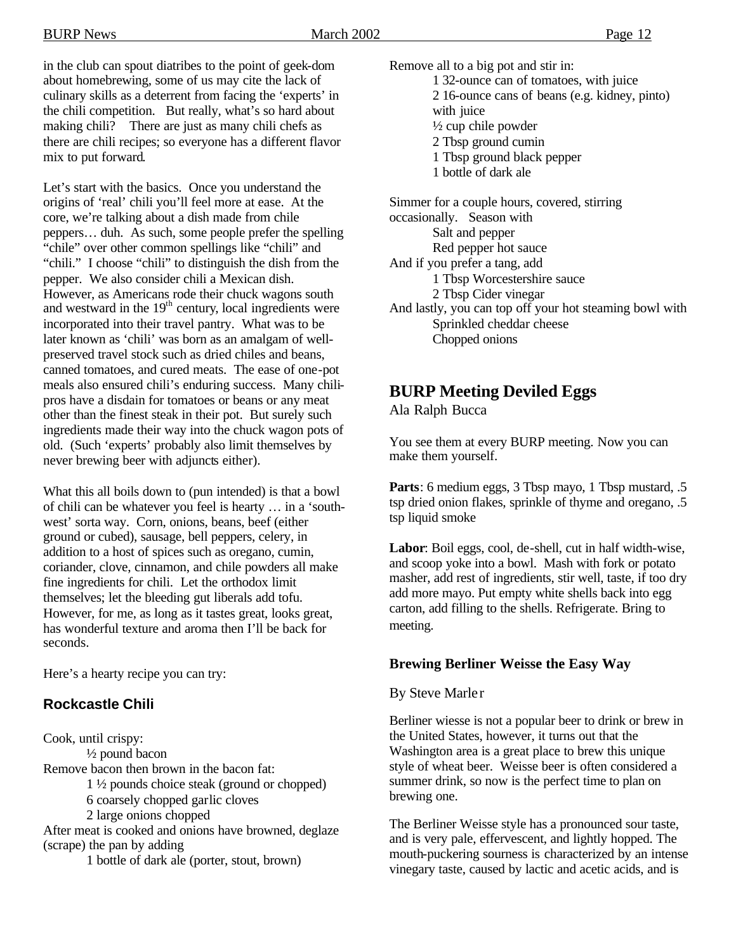in the club can spout diatribes to the point of geek-dom about homebrewing, some of us may cite the lack of culinary skills as a deterrent from facing the 'experts' in the chili competition. But really, what's so hard about making chili? There are just as many chili chefs as there are chili recipes; so everyone has a different flavor mix to put forward.

Let's start with the basics. Once you understand the origins of 'real' chili you'll feel more at ease. At the core, we're talking about a dish made from chile peppers… duh. As such, some people prefer the spelling "chile" over other common spellings like "chili" and "chili." I choose "chili" to distinguish the dish from the pepper. We also consider chili a Mexican dish. However, as Americans rode their chuck wagons south and westward in the  $19<sup>th</sup>$  century, local ingredients were incorporated into their travel pantry. What was to be later known as 'chili' was born as an amalgam of wellpreserved travel stock such as dried chiles and beans, canned tomatoes, and cured meats. The ease of one-pot meals also ensured chili's enduring success. Many chilipros have a disdain for tomatoes or beans or any meat other than the finest steak in their pot. But surely such ingredients made their way into the chuck wagon pots of old. (Such 'experts' probably also limit themselves by never brewing beer with adjuncts either).

What this all boils down to (pun intended) is that a bowl of chili can be whatever you feel is hearty … in a 'southwest' sorta way. Corn, onions, beans, beef (either ground or cubed), sausage, bell peppers, celery, in addition to a host of spices such as oregano, cumin, coriander, clove, cinnamon, and chile powders all make fine ingredients for chili. Let the orthodox limit themselves; let the bleeding gut liberals add tofu. However, for me, as long as it tastes great, looks great, has wonderful texture and aroma then I'll be back for seconds.

Here's a hearty recipe you can try:

# **Rockcastle Chili**

Cook, until crispy: ½ pound bacon Remove bacon then brown in the bacon fat: 1 ½ pounds choice steak (ground or chopped) 6 coarsely chopped garlic cloves 2 large onions chopped After meat is cooked and onions have browned, deglaze (scrape) the pan by adding

1 bottle of dark ale (porter, stout, brown)

Remove all to a big pot and stir in: 1 32-ounce can of tomatoes, with juice 2 16-ounce cans of beans (e.g. kidney, pinto) with juice ½ cup chile powder 2 Tbsp ground cumin 1 Tbsp ground black pepper 1 bottle of dark ale

Simmer for a couple hours, covered, stirring occasionally. Season with Salt and pepper Red pepper hot sauce And if you prefer a tang, add 1 Tbsp Worcestershire sauce 2 Tbsp Cider vinegar And lastly, you can top off your hot steaming bowl with Sprinkled cheddar cheese Chopped onions

# **BURP Meeting Deviled Eggs**

Ala Ralph Bucca

You see them at every BURP meeting. Now you can make them yourself.

Parts: 6 medium eggs, 3 Tbsp mayo, 1 Tbsp mustard, .5 tsp dried onion flakes, sprinkle of thyme and oregano, .5 tsp liquid smoke

**Labor**: Boil eggs, cool, de-shell, cut in half width-wise, and scoop yoke into a bowl. Mash with fork or potato masher, add rest of ingredients, stir well, taste, if too dry add more mayo. Put empty white shells back into egg carton, add filling to the shells. Refrigerate. Bring to meeting.

### **Brewing Berliner Weisse the Easy Way**

### By Steve Marle r

Berliner wiesse is not a popular beer to drink or brew in the United States, however, it turns out that the Washington area is a great place to brew this unique style of wheat beer. Weisse beer is often considered a summer drink, so now is the perfect time to plan on brewing one.

The Berliner Weisse style has a pronounced sour taste, and is very pale, effervescent, and lightly hopped. The mouth-puckering sourness is characterized by an intense vinegary taste, caused by lactic and acetic acids, and is